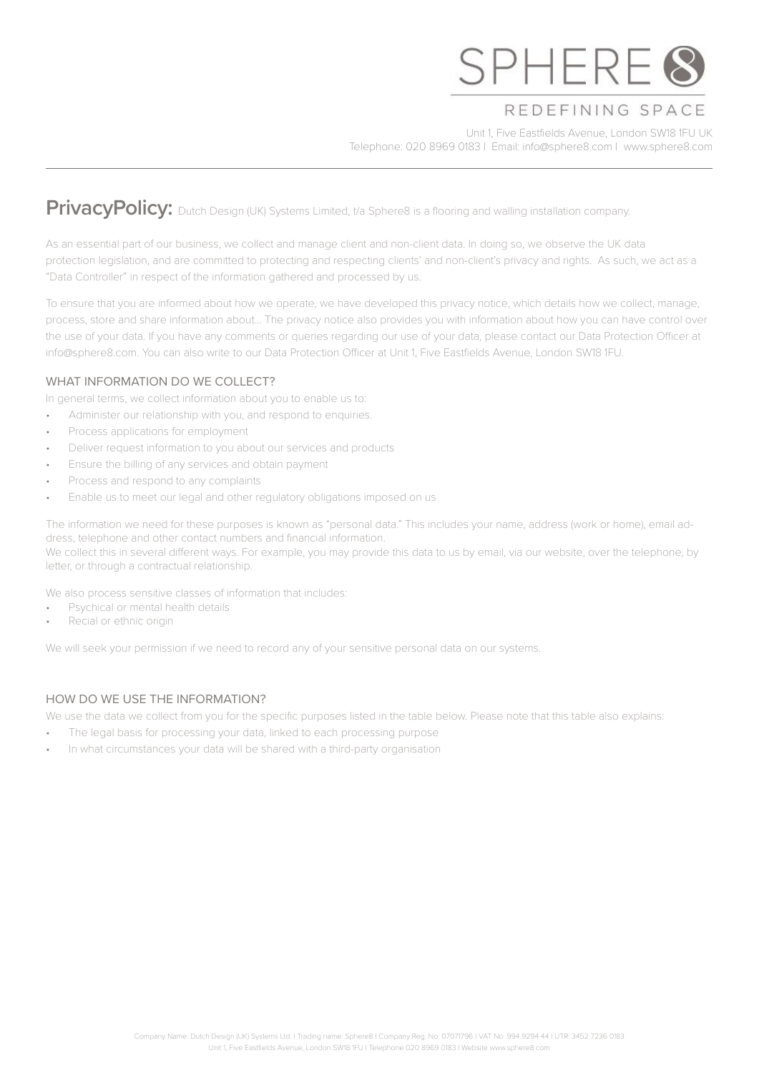

# REDEFINING SPACE

Unit 1, Five Eastfields Avenue, London SW18 1FU UK Telephone: 020 8969 0183 | Email: info@sphere8.com | www.sphere8.com

# **PrivacyPolicy:** Dutch Design (UK) Systems Limited, t/a Sphere8 is a flooring and walling installation company.

As an essential part of our business, we collect and manage client and non-client data. In doing so, we observe the UK data protection legislation, and are committed to protecting and respecting clients' and non-client's privacy and rights. As such, we act as a "Data Controller" in respect of the information gathered and processed by us.

To ensure that you are informed about how we operate, we have developed this privacy notice, which details how we collect, manage, process, store and share information about… The privacy notice also provides you with information about how you can have control over the use of your data. If you have any comments or queries regarding our use of your data, please contact our Data Protection Officer at info@sphere8.com. You can also write to our Data Protection Officer at Unit 1, Five Eastfields Avenue, London SW18 1FU.

# WHAT INFORMATION DO WE COLLECT?

In general terms, we collect information about you to enable us to:

- Administer our relationship with you, and respond to enquiries.
- Process applications for employment
- Deliver request information to you about our services and products
- Ensure the billing of any services and obtain payment
- Process and respond to any complaints
- Enable us to meet our legal and other regulatory obligations imposed on us

The information we need for these purposes is known as "personal data." This includes your name, address (work or home), email address, telephone and other contact numbers and financial information. We collect this in several different ways. For example, you may provide this data to us by email, via our website, over the telephone, by letter, or through a contractual relationship.

We also process sensitive classes of information that includes:

- Psychical or mental health details
- Recial or ethnic origin

We will seek your permission if we need to record any of your sensitive personal data on our systems.

# HOW DO WE USE THE INFORMATION?

We use the data we collect from you for the specific purposes listed in the table below. Please note that this table also explains:

- The legal basis for processing your data, linked to each processing purpose
- In what circumstances your data will be shared with a third-party organisation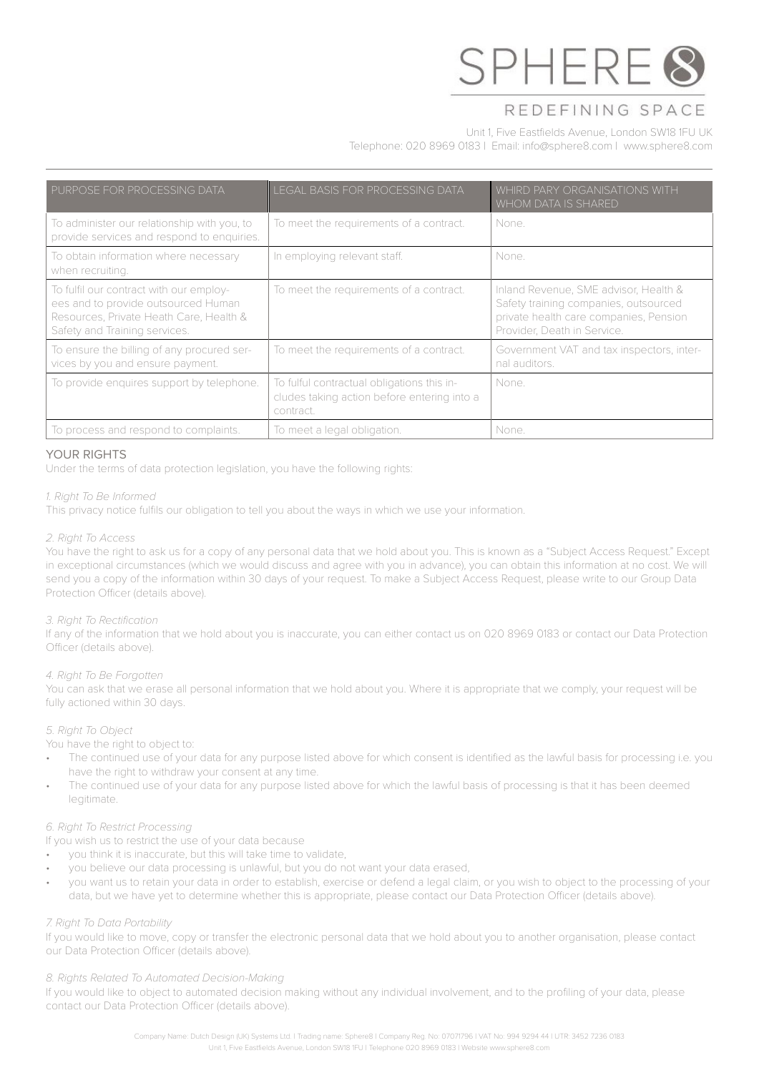

# REDEFINING SPACE

# Unit 1, Five Eastfields Avenue, London SW18 1FU UK

Telephone: 020 8969 0183 | Email: info@sphere8.com | www.sphere8.com

| PURPOSE FOR PROCESSING DATA                                                                                                                                | <b>LEGAL BASIS FOR PROCESSING DATA</b>                                                                 | WHIRD PARY ORGANISATIONS WITH<br>WHOM DATA IS SHARED                                                                                                    |
|------------------------------------------------------------------------------------------------------------------------------------------------------------|--------------------------------------------------------------------------------------------------------|---------------------------------------------------------------------------------------------------------------------------------------------------------|
| To administer our relationship with you, to<br>provide services and respond to enquiries.                                                                  | To meet the requirements of a contract.                                                                | None.                                                                                                                                                   |
| To obtain information where necessary<br>when recruiting.                                                                                                  | In employing relevant staff.                                                                           | None.                                                                                                                                                   |
| To fulfil our contract with our employ-<br>ees and to provide outsourced Human<br>Resources, Private Heath Care, Health &<br>Safety and Training services. | To meet the requirements of a contract.                                                                | Inland Revenue, SME advisor, Health &<br>Safety training companies, outsourced<br>private health care companies, Pension<br>Provider, Death in Service. |
| To ensure the billing of any procured ser-<br>vices by you and ensure payment.                                                                             | To meet the requirements of a contract.                                                                | Government VAT and tax inspectors, inter-<br>nal auditors.                                                                                              |
| To provide enquires support by telephone.                                                                                                                  | To fulful contractual obligations this in-<br>cludes taking action before entering into a<br>contract. | None.                                                                                                                                                   |
| To process and respond to complaints.                                                                                                                      | To meet a legal obligation.                                                                            | None.                                                                                                                                                   |

### YOUR RIGHTS

Under the terms of data protection legislation, you have the following rights:

#### *1. Right To Be Informed*

This privacy notice fulfils our obligation to tell you about the ways in which we use your information.

#### *2. Right To Access*

You have the right to ask us for a copy of any personal data that we hold about you. This is known as a "Subject Access Request." Except in exceptional circumstances (which we would discuss and agree with you in advance), you can obtain this information at no cost. We will send you a copy of the information within 30 days of your request. To make a Subject Access Request, please write to our Group Data Protection Officer (details above).

#### *3. Right To Rectification*

If any of the information that we hold about you is inaccurate, you can either contact us on 020 8969 0183 or contact our Data Protection Officer (details above).

#### *4. Right To Be Forgotten*

You can ask that we erase all personal information that we hold about you. Where it is appropriate that we comply, your request will be fully actioned within 30 days.

#### *5. Right To Object*

You have the right to object to:

- The continued use of your data for any purpose listed above for which consent is identified as the lawful basis for processing i.e. you have the right to withdraw your consent at any time.
- The continued use of your data for any purpose listed above for which the lawful basis of processing is that it has been deemed legitimate.

#### *6. Right To Restrict Processing*

If you wish us to restrict the use of your data because

- you think it is inaccurate, but this will take time to validate,
- you believe our data processing is unlawful, but you do not want your data erased,
- you want us to retain your data in order to establish, exercise or defend a legal claim, or you wish to object to the processing of your data, but we have yet to determine whether this is appropriate, please contact our Data Protection Officer (details above).

#### *7. Right To Data Portability*

If you would like to move, copy or transfer the electronic personal data that we hold about you to another organisation, please contact our Data Protection Officer (details above).

#### *8. Rights Related To Automated Decision-Making*

If you would like to object to automated decision making without any individual involvement, and to the profiling of your data, please contact our Data Protection Officer (details above).